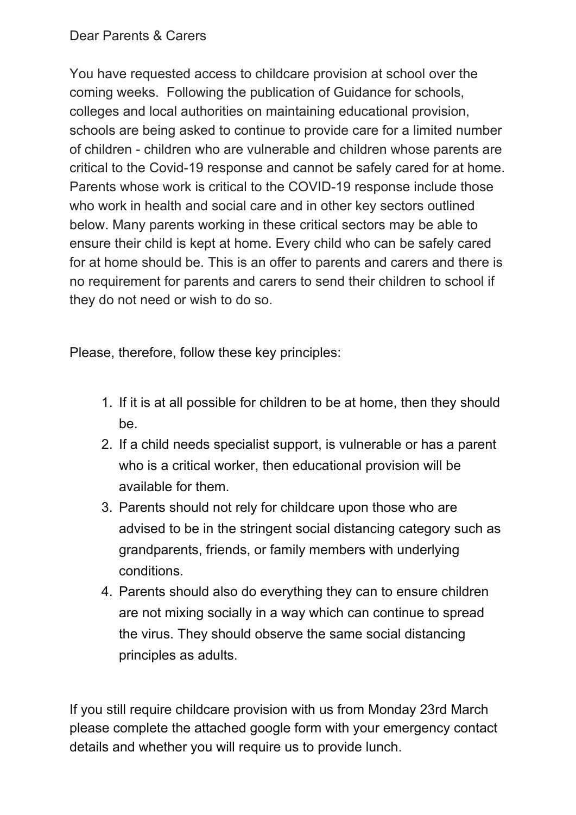Dear Parents & Carers

You have requested access to childcare provision at school over the coming weeks. Following the publication of Guidance for schools, colleges and local authorities on maintaining educational provision, schools are being asked to continue to provide care for a limited number of children - children who are vulnerable and children whose parents are critical to the Covid-19 response and cannot be safely cared for at home. Parents whose work is critical to the COVID-19 response include those who work in health and social care and in other key sectors outlined below. Many parents working in these critical sectors may be able to ensure their child is kept at home. Every child who can be safely cared for at home should be. This is an offer to parents and carers and there is no requirement for parents and carers to send their children to school if they do not need or wish to do so.

Please, therefore, follow these key principles:

- 1. If it is at all possible for children to be at home, then they should be.
- 2. If a child needs specialist support, is vulnerable or has a parent who is a critical worker, then educational provision will be available for them.
- 3. Parents should not rely for childcare upon those who are advised to be in the stringent social distancing category such as grandparents, friends, or family members with underlying conditions.
- 4. Parents should also do everything they can to ensure children are not mixing socially in a way which can continue to spread the virus. They should observe the same social distancing principles as adults.

If you still require childcare provision with us from Monday 23rd March please complete the attached google form with your emergency contact details and whether you will require us to provide lunch.